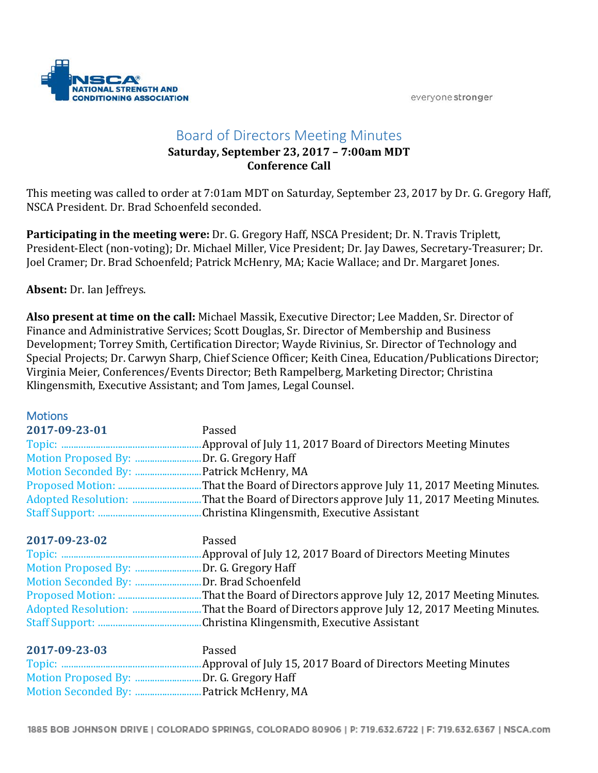

## Board of Directors Meeting Minutes

## **Saturday, September 23, 2017 – 7:00am MDT Conference Call**

This meeting was called to order at 7:01am MDT on Saturday, September 23, 2017 by Dr. G. Gregory Haff, NSCA President. Dr. Brad Schoenfeld seconded.

**Participating in the meeting were:** Dr. G. Gregory Haff, NSCA President; Dr. N. Travis Triplett, President-Elect (non-voting); Dr. Michael Miller, Vice President; Dr. Jay Dawes, Secretary-Treasurer; Dr. Joel Cramer; Dr. Brad Schoenfeld; Patrick McHenry, MA; Kacie Wallace; and Dr. Margaret Jones.

**Absent:** Dr. Ian Jeffreys.

**Also present at time on the call:** Michael Massik, Executive Director; Lee Madden, Sr. Director of Finance and Administrative Services; Scott Douglas, Sr. Director of Membership and Business Development; Torrey Smith, Certification Director; Wayde Rivinius, Sr. Director of Technology and Special Projects; Dr. Carwyn Sharp, Chief Science Officer; Keith Cinea, Education/Publications Director; Virginia Meier, Conferences/Events Director; Beth Rampelberg, Marketing Director; Christina Klingensmith, Executive Assistant; and Tom James, Legal Counsel.

| <b>Motions</b>      |                                                                      |
|---------------------|----------------------------------------------------------------------|
| 2017-09-23-01       | Passed                                                               |
|                     | Approval of July 11, 2017 Board of Directors Meeting Minutes         |
|                     | Dr. G. Gregory Haff                                                  |
| Motion Seconded By: | .Patrick McHenry, MA                                                 |
|                     | That the Board of Directors approve July 11, 2017 Meeting Minutes.   |
|                     | . That the Board of Directors approve July 11, 2017 Meeting Minutes. |
|                     |                                                                      |
| 2017-09-23-02       | Passed                                                               |
|                     |                                                                      |
| Motion Proposed By: | .Dr. G. Gregory Haff                                                 |
| Motion Seconded By: | Dr. Brad Schoenfeld.                                                 |
|                     | That the Board of Directors approve July 12, 2017 Meeting Minutes.   |
| Adopted Resolution: | That the Board of Directors approve July 12, 2017 Meeting Minutes.   |
|                     | Christina Klingensmith, Executive Assistant                          |
| 2017-09-23-03       | Passed                                                               |
|                     |                                                                      |

Motion Proposed By: ...........................Dr. G. Gregory Haff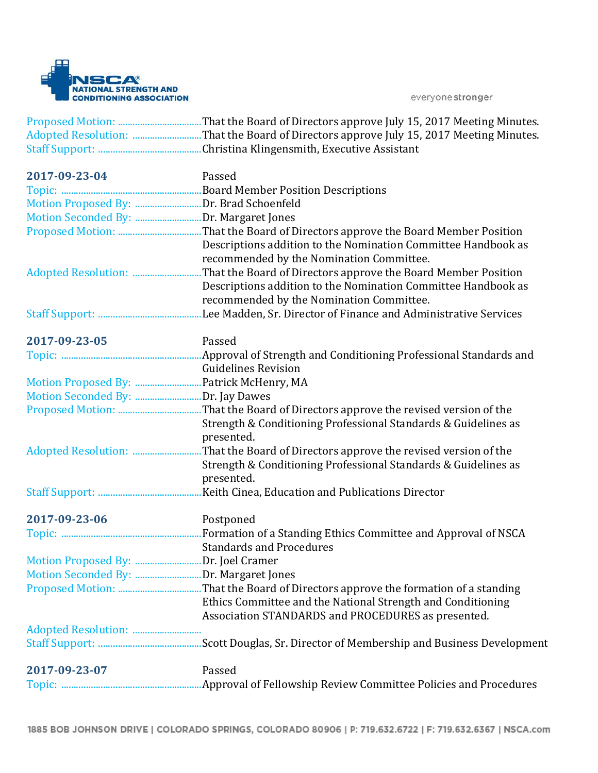

|                                        | Adopted Resolution: That the Board of Directors approve July 15, 2017 Meeting Minutes. |
|----------------------------------------|----------------------------------------------------------------------------------------|
|                                        |                                                                                        |
| 2017-09-23-04                          | Passed                                                                                 |
|                                        |                                                                                        |
|                                        |                                                                                        |
| Motion Seconded By: Dr. Margaret Jones |                                                                                        |
|                                        |                                                                                        |
|                                        | Descriptions addition to the Nomination Committee Handbook as                          |
|                                        | recommended by the Nomination Committee.                                               |
|                                        |                                                                                        |
|                                        | Descriptions addition to the Nomination Committee Handbook as                          |
|                                        | recommended by the Nomination Committee.                                               |
|                                        |                                                                                        |
| 2017-09-23-05                          | Passed                                                                                 |
|                                        |                                                                                        |
|                                        | <b>Guidelines Revision</b>                                                             |
|                                        |                                                                                        |
| Motion Seconded By: Dr. Jay Dawes      |                                                                                        |
|                                        |                                                                                        |
|                                        | Strength & Conditioning Professional Standards & Guidelines as                         |
|                                        | presented.                                                                             |
|                                        | That the Board of Directors approve the revised version of the                         |
|                                        | Strength & Conditioning Professional Standards & Guidelines as                         |
|                                        | presented.                                                                             |
|                                        |                                                                                        |
| 2017-09-23-06                          | Postponed                                                                              |
|                                        |                                                                                        |
|                                        | <b>Standards and Procedures</b>                                                        |
| Motion Proposed By: Dr. Joel Cramer    |                                                                                        |
|                                        |                                                                                        |
|                                        |                                                                                        |
|                                        | Ethics Committee and the National Strength and Conditioning                            |
|                                        | Association STANDARDS and PROCEDURES as presented.                                     |
|                                        |                                                                                        |
|                                        |                                                                                        |
| 2017-09-23-07                          | Passed                                                                                 |
|                                        |                                                                                        |
|                                        |                                                                                        |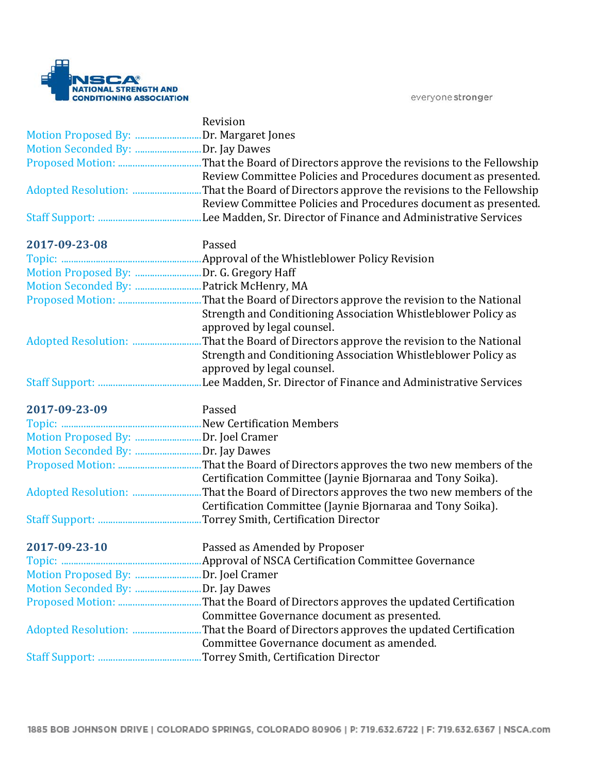

|                                         | Revision                                                         |
|-----------------------------------------|------------------------------------------------------------------|
| Motion Proposed By: Dr. Margaret Jones  |                                                                  |
| Motion Seconded By: Dr. Jay Dawes       |                                                                  |
|                                         |                                                                  |
|                                         | Review Committee Policies and Procedures document as presented.  |
|                                         |                                                                  |
|                                         | Review Committee Policies and Procedures document as presented.  |
|                                         |                                                                  |
| 2017-09-23-08                           | Passed                                                           |
|                                         |                                                                  |
| Motion Proposed By: Dr. G. Gregory Haff |                                                                  |
|                                         |                                                                  |
|                                         |                                                                  |
|                                         |                                                                  |
|                                         | Strength and Conditioning Association Whistleblower Policy as    |
|                                         | approved by legal counsel.                                       |
|                                         | That the Board of Directors approve the revision to the National |
|                                         | Strength and Conditioning Association Whistleblower Policy as    |
|                                         | approved by legal counsel.                                       |
|                                         | Lee Madden, Sr. Director of Finance and Administrative Services  |
|                                         |                                                                  |
| 2017-09-23-09                           | Passed                                                           |
|                                         |                                                                  |
|                                         |                                                                  |
| Motion Proposed By: Dr. Joel Cramer     |                                                                  |
|                                         |                                                                  |
|                                         |                                                                  |
|                                         | Certification Committee (Jaynie Bjornaraa and Tony Soika).       |
|                                         | Certification Committee (Jaynie Bjornaraa and Tony Soika).       |
|                                         |                                                                  |
|                                         |                                                                  |
| 2017-09-23-10                           | Passed as Amended by Proposer                                    |
|                                         |                                                                  |
|                                         |                                                                  |
| Motion Seconded By: Dr. Jay Dawes       |                                                                  |
|                                         |                                                                  |
|                                         | Committee Governance document as presented.                      |
|                                         |                                                                  |
|                                         | Committee Governance document as amended.                        |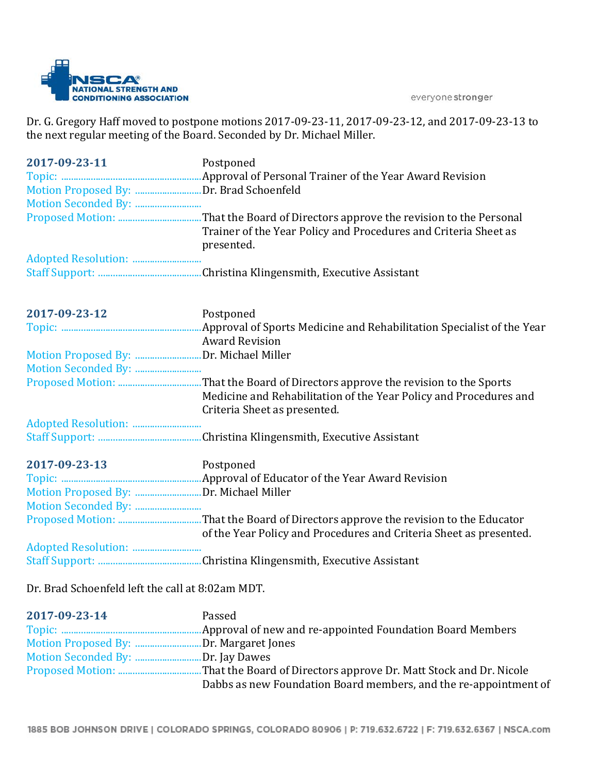

Dr. G. Gregory Haff moved to postpone motions 2017-09-23-11, 2017-09-23-12, and 2017-09-23-13 to the next regular meeting of the Board. Seconded by Dr. Michael Miller.

| 2017-09-23-11                                                                                                                                                                                                                  | Postponed                                                                                         |
|--------------------------------------------------------------------------------------------------------------------------------------------------------------------------------------------------------------------------------|---------------------------------------------------------------------------------------------------|
|                                                                                                                                                                                                                                | Trainer of the Year Policy and Procedures and Criteria Sheet as<br>presented.                     |
|                                                                                                                                                                                                                                |                                                                                                   |
|                                                                                                                                                                                                                                |                                                                                                   |
| 2017-09-23-12                                                                                                                                                                                                                  | Postponed                                                                                         |
|                                                                                                                                                                                                                                | <b>Award Revision</b>                                                                             |
|                                                                                                                                                                                                                                |                                                                                                   |
|                                                                                                                                                                                                                                |                                                                                                   |
|                                                                                                                                                                                                                                | Medicine and Rehabilitation of the Year Policy and Procedures and<br>Criteria Sheet as presented. |
|                                                                                                                                                                                                                                |                                                                                                   |
|                                                                                                                                                                                                                                |                                                                                                   |
| 2017-09-23-13                                                                                                                                                                                                                  | Postponed                                                                                         |
|                                                                                                                                                                                                                                |                                                                                                   |
|                                                                                                                                                                                                                                |                                                                                                   |
|                                                                                                                                                                                                                                |                                                                                                   |
|                                                                                                                                                                                                                                | of the Year Policy and Procedures and Criteria Sheet as presented.                                |
|                                                                                                                                                                                                                                |                                                                                                   |
|                                                                                                                                                                                                                                |                                                                                                   |
| the contract of the state of the contract of the state of the state of the state of the state of the state of the state of the state of the state of the state of the state of the state of the state of the state of the stat |                                                                                                   |

Dr. Brad Schoenfeld left the call at 8:02am MDT.

| 2017-09-23-14                          | Passed                                                           |
|----------------------------------------|------------------------------------------------------------------|
|                                        |                                                                  |
| Motion Proposed By: Dr. Margaret Jones |                                                                  |
| Motion Seconded By: Dr. Jay Dawes      |                                                                  |
|                                        |                                                                  |
|                                        | Dabbs as new Foundation Board members, and the re-appointment of |